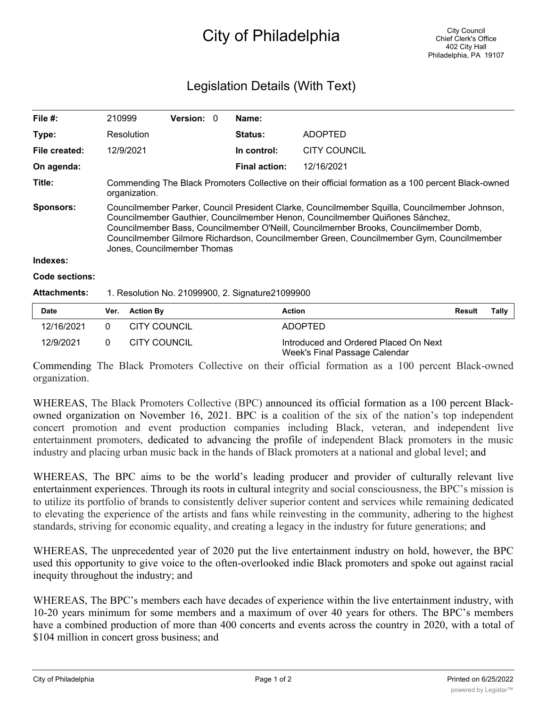## City of Philadelphia

## Legislation Details (With Text)

| File $#$ :          | 210999                                                                                                                                                                                                                                                                                                                                                                                          | <b>Version: 0</b> | Name:                |                     |  |  |  |
|---------------------|-------------------------------------------------------------------------------------------------------------------------------------------------------------------------------------------------------------------------------------------------------------------------------------------------------------------------------------------------------------------------------------------------|-------------------|----------------------|---------------------|--|--|--|
| Type:               | Resolution                                                                                                                                                                                                                                                                                                                                                                                      |                   | <b>Status:</b>       | <b>ADOPTED</b>      |  |  |  |
| File created:       | 12/9/2021                                                                                                                                                                                                                                                                                                                                                                                       |                   | In control:          | <b>CITY COUNCIL</b> |  |  |  |
| On agenda:          |                                                                                                                                                                                                                                                                                                                                                                                                 |                   | <b>Final action:</b> | 12/16/2021          |  |  |  |
| Title:              | Commending The Black Promoters Collective on their official formation as a 100 percent Black-owned<br>organization.                                                                                                                                                                                                                                                                             |                   |                      |                     |  |  |  |
| <b>Sponsors:</b>    | Councilmember Parker, Council President Clarke, Councilmember Squilla, Councilmember Johnson,<br>Councilmember Gauthier, Councilmember Henon, Councilmember Quiñones Sánchez,<br>Councilmember Bass, Councilmember O'Neill, Councilmember Brooks, Councilmember Domb,<br>Councilmember Gilmore Richardson, Councilmember Green, Councilmember Gym, Councilmember<br>Jones, Councilmember Thomas |                   |                      |                     |  |  |  |
| Indexes:            |                                                                                                                                                                                                                                                                                                                                                                                                 |                   |                      |                     |  |  |  |
| Code sections:      |                                                                                                                                                                                                                                                                                                                                                                                                 |                   |                      |                     |  |  |  |
| <b>Attachments:</b> | 1. Resolution No. 21099900, 2. Signature21099900                                                                                                                                                                                                                                                                                                                                                |                   |                      |                     |  |  |  |

| <b>Date</b> | Ver. Action By      | <b>Action</b>                                                          | Result | Tally |
|-------------|---------------------|------------------------------------------------------------------------|--------|-------|
| 12/16/2021  | <b>CITY COUNCIL</b> | ADOPTED                                                                |        |       |
| 12/9/2021   | CITY COUNCIL        | Introduced and Ordered Placed On Next<br>Week's Final Passage Calendar |        |       |

Commending The Black Promoters Collective on their official formation as a 100 percent Black-owned organization.

WHEREAS, The Black Promoters Collective (BPC) announced its official formation as a 100 percent Blackowned organization on November 16, 2021. BPC is a coalition of the six of the nation's top independent concert promotion and event production companies including Black, veteran, and independent live entertainment promoters, dedicated to advancing the profile of independent Black promoters in the music industry and placing urban music back in the hands of Black promoters at a national and global level; and

WHEREAS, The BPC aims to be the world's leading producer and provider of culturally relevant live entertainment experiences. Through its roots in cultural integrity and social consciousness, the BPC's mission is to utilize its portfolio of brands to consistently deliver superior content and services while remaining dedicated to elevating the experience of the artists and fans while reinvesting in the community, adhering to the highest standards, striving for economic equality, and creating a legacy in the industry for future generations; and

WHEREAS, The unprecedented year of 2020 put the live entertainment industry on hold, however, the BPC used this opportunity to give voice to the often-overlooked indie Black promoters and spoke out against racial inequity throughout the industry; and

WHEREAS, The BPC's members each have decades of experience within the live entertainment industry, with 10-20 years minimum for some members and a maximum of over 40 years for others. The BPC's members have a combined production of more than 400 concerts and events across the country in 2020, with a total of \$104 million in concert gross business; and